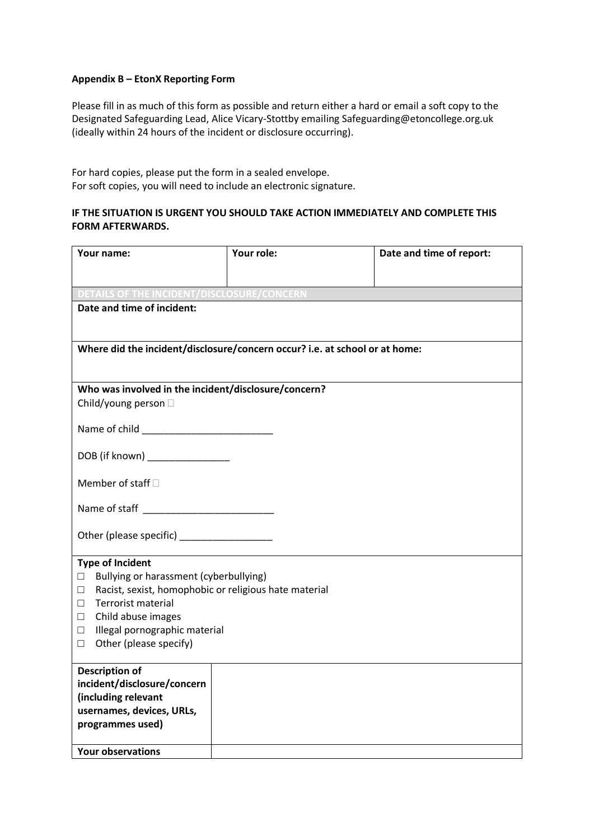## **Appendix B – EtonX Reporting Form**

Please fill in as much of this form as possible and return either a hard or email a soft copy to the Designated Safeguarding Lead, Alice Vicary-Stottby emailing Safeguarding@etoncollege.org.uk (ideally within 24 hours of the incident or disclosure occurring).

For hard copies, please put the form in a sealed envelope. For soft copies, you will need to include an electronic signature.

## **IF THE SITUATION IS URGENT YOU SHOULD TAKE ACTION IMMEDIATELY AND COMPLETE THIS FORM AFTERWARDS.**

| Your name:                                                                  | Your role: |  | Date and time of report: |  |
|-----------------------------------------------------------------------------|------------|--|--------------------------|--|
|                                                                             |            |  |                          |  |
| OF THE INCIDENT/DISCLOSURE/CONCERN                                          |            |  |                          |  |
| Date and time of incident:                                                  |            |  |                          |  |
|                                                                             |            |  |                          |  |
| Where did the incident/disclosure/concern occur? i.e. at school or at home: |            |  |                          |  |
|                                                                             |            |  |                          |  |
| Who was involved in the incident/disclosure/concern?                        |            |  |                          |  |
| Child/young person D                                                        |            |  |                          |  |
|                                                                             |            |  |                          |  |
| DOB (if known) _______________                                              |            |  |                          |  |
|                                                                             |            |  |                          |  |
| Member of staff D                                                           |            |  |                          |  |
| Name of staff ___________________________                                   |            |  |                          |  |
|                                                                             |            |  |                          |  |
|                                                                             |            |  |                          |  |
| <b>Type of Incident</b><br>Bullying or harassment (cyberbullying)<br>$\Box$ |            |  |                          |  |
| Racist, sexist, homophobic or religious hate material<br>$\Box$             |            |  |                          |  |
| <b>Terrorist material</b><br>$\Box$                                         |            |  |                          |  |
| Child abuse images<br>$\Box$                                                |            |  |                          |  |
| Illegal pornographic material<br>$\Box$<br>Other (please specify)<br>$\Box$ |            |  |                          |  |
|                                                                             |            |  |                          |  |
| <b>Description of</b>                                                       |            |  |                          |  |
| incident/disclosure/concern<br>(including relevant                          |            |  |                          |  |
| usernames, devices, URLs,                                                   |            |  |                          |  |
| programmes used)                                                            |            |  |                          |  |
| <b>Your observations</b>                                                    |            |  |                          |  |
|                                                                             |            |  |                          |  |